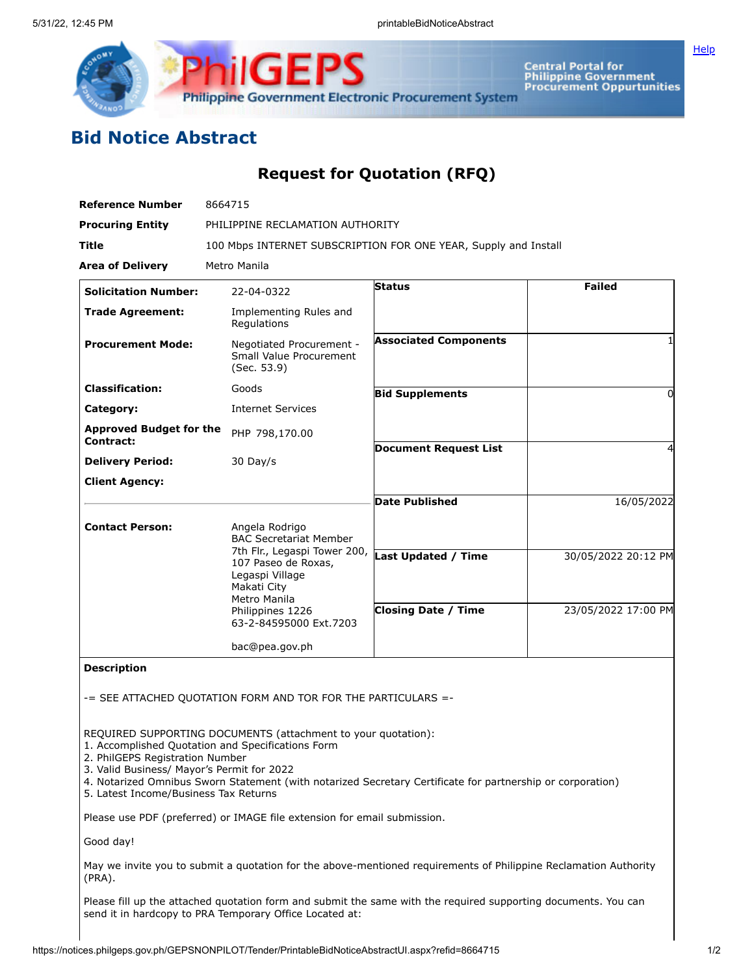

Central Portal for<br>Philippine Government<br>Procurement Oppurtunities

**[Help](javascript:void(window.open()** 

# **Bid Notice Abstract**

## **Request for Quotation (RFQ)**

| <b>Reference Number</b>                     | 8664715                                                                                               |                              |                     |  |  |  |  |
|---------------------------------------------|-------------------------------------------------------------------------------------------------------|------------------------------|---------------------|--|--|--|--|
| <b>Procuring Entity</b>                     | PHILIPPINE RECLAMATION AUTHORITY                                                                      |                              |                     |  |  |  |  |
| <b>Title</b>                                | 100 Mbps INTERNET SUBSCRIPTION FOR ONE YEAR, Supply and Install                                       |                              |                     |  |  |  |  |
| <b>Area of Delivery</b>                     | Metro Manila                                                                                          |                              |                     |  |  |  |  |
| <b>Solicitation Number:</b>                 | 22-04-0322                                                                                            | <b>Status</b>                | <b>Failed</b>       |  |  |  |  |
| <b>Trade Agreement:</b>                     | Implementing Rules and<br>Regulations                                                                 |                              |                     |  |  |  |  |
| <b>Procurement Mode:</b>                    | Negotiated Procurement -<br>Small Value Procurement<br>(Sec. 53.9)                                    | <b>Associated Components</b> |                     |  |  |  |  |
| <b>Classification:</b>                      | Goods                                                                                                 | <b>Bid Supplements</b>       | 0                   |  |  |  |  |
| Category:                                   | <b>Internet Services</b>                                                                              |                              |                     |  |  |  |  |
| <b>Approved Budget for the</b><br>Contract: | PHP 798,170.00                                                                                        |                              |                     |  |  |  |  |
| <b>Delivery Period:</b>                     | $30$ Day/s                                                                                            | <b>Document Request List</b> |                     |  |  |  |  |
| <b>Client Agency:</b>                       |                                                                                                       |                              |                     |  |  |  |  |
|                                             |                                                                                                       | <b>Date Published</b>        | 16/05/2022          |  |  |  |  |
| <b>Contact Person:</b>                      | Angela Rodrigo<br><b>BAC Secretariat Member</b>                                                       |                              |                     |  |  |  |  |
|                                             | 7th Flr., Legaspi Tower 200,<br>107 Paseo de Roxas,<br>Legaspi Village<br>Makati City<br>Metro Manila | <b>Last Updated / Time</b>   | 30/05/2022 20:12 PM |  |  |  |  |
|                                             | Philippines 1226<br>63-2-84595000 Ext.7203                                                            | <b>Closing Date / Time</b>   | 23/05/2022 17:00 PM |  |  |  |  |
|                                             | bac@pea.gov.ph                                                                                        |                              |                     |  |  |  |  |

**Description**

-= SEE ATTACHED QUOTATION FORM AND TOR FOR THE PARTICULARS =-

REQUIRED SUPPORTING DOCUMENTS (attachment to your quotation):

- 1. Accomplished Quotation and Specifications Form
- 2. PhilGEPS Registration Number
- 3. Valid Business/ Mayor's Permit for 2022
- 4. Notarized Omnibus Sworn Statement (with notarized Secretary Certificate for partnership or corporation)
- 5. Latest Income/Business Tax Returns

Please use PDF (preferred) or IMAGE file extension for email submission.

Good day!

May we invite you to submit a quotation for the above-mentioned requirements of Philippine Reclamation Authority (PRA).

Please fill up the attached quotation form and submit the same with the required supporting documents. You can send it in hardcopy to PRA Temporary Office Located at: